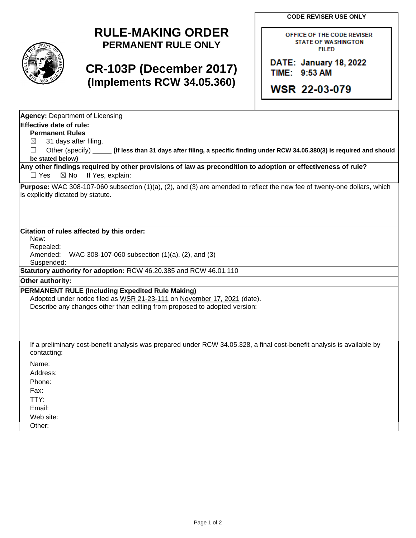**CODE REVISER USE ONLY**



## **RULE-MAKING ORDER PERMANENT RULE ONLY**

## **CR-103P (December 2017) (Implements RCW 34.05.360)**

OFFICE OF THE CODE REVISER **STATE OF WASHINGTON FILED** 

DATE: January 18, 2022 TIME: 9:53 AM

WSR 22-03-079

| <b>Agency: Department of Licensing</b>                                                                                                                                                                    |  |
|-----------------------------------------------------------------------------------------------------------------------------------------------------------------------------------------------------------|--|
| <b>Effective date of rule:</b>                                                                                                                                                                            |  |
| <b>Permanent Rules</b>                                                                                                                                                                                    |  |
| 31 days after filing.<br>⊠                                                                                                                                                                                |  |
| Other (specify)<br>(If less than 31 days after filing, a specific finding under RCW 34.05.380(3) is required and should<br>□                                                                              |  |
| be stated below)                                                                                                                                                                                          |  |
| Any other findings required by other provisions of law as precondition to adoption or effectiveness of rule?<br>If Yes, explain:<br>$\Box$ Yes<br>$\boxtimes$ No                                          |  |
| Purpose: WAC 308-107-060 subsection (1)(a), (2), and (3) are amended to reflect the new fee of twenty-one dollars, which<br>is explicitly dictated by statute.                                            |  |
| Citation of rules affected by this order:                                                                                                                                                                 |  |
| New:                                                                                                                                                                                                      |  |
| Repealed:                                                                                                                                                                                                 |  |
| Amended:<br>WAC 308-107-060 subsection (1)(a), (2), and (3)                                                                                                                                               |  |
| Suspended:                                                                                                                                                                                                |  |
| Statutory authority for adoption: RCW 46.20.385 and RCW 46.01.110                                                                                                                                         |  |
| Other authority:                                                                                                                                                                                          |  |
| PERMANENT RULE (Including Expedited Rule Making)<br>Adopted under notice filed as WSR 21-23-111 on November 17, 2021 (date).<br>Describe any changes other than editing from proposed to adopted version: |  |
| If a preliminary cost-benefit analysis was prepared under RCW 34.05.328, a final cost-benefit analysis is available by<br>contacting:                                                                     |  |
| Name:                                                                                                                                                                                                     |  |
| Address:                                                                                                                                                                                                  |  |
| Phone:                                                                                                                                                                                                    |  |
| Fax:                                                                                                                                                                                                      |  |
| TTY:                                                                                                                                                                                                      |  |
| Email:                                                                                                                                                                                                    |  |
| Web site:                                                                                                                                                                                                 |  |
| Other:                                                                                                                                                                                                    |  |